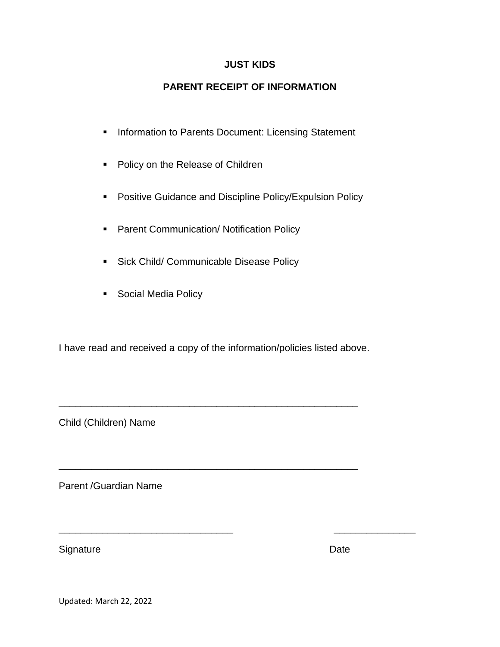## **JUST KIDS**

# **PARENT RECEIPT OF INFORMATION**

- **Information to Parents Document: Licensing Statement**
- **Policy on the Release of Children**
- **Positive Guidance and Discipline Policy/Expulsion Policy**
- **Parent Communication/ Notification Policy**
- **Sick Child/ Communicable Disease Policy**
- **Social Media Policy**

I have read and received a copy of the information/policies listed above.

\_\_\_\_\_\_\_\_\_\_\_\_\_\_\_\_\_\_\_\_\_\_\_\_\_\_\_\_\_\_\_\_\_\_\_\_\_\_\_\_\_\_\_\_\_\_\_\_\_\_\_\_\_\_\_

\_\_\_\_\_\_\_\_\_\_\_\_\_\_\_\_\_\_\_\_\_\_\_\_\_\_\_\_\_\_\_\_\_\_\_\_\_\_\_\_\_\_\_\_\_\_\_\_\_\_\_\_\_\_\_

\_\_\_\_\_\_\_\_\_\_\_\_\_\_\_\_\_\_\_\_\_\_\_\_\_\_\_\_\_\_\_\_ \_\_\_\_\_\_\_\_\_\_\_\_\_\_\_

Child (Children) Name

Parent /Guardian Name

Signature Date

Updated: March 22, 2022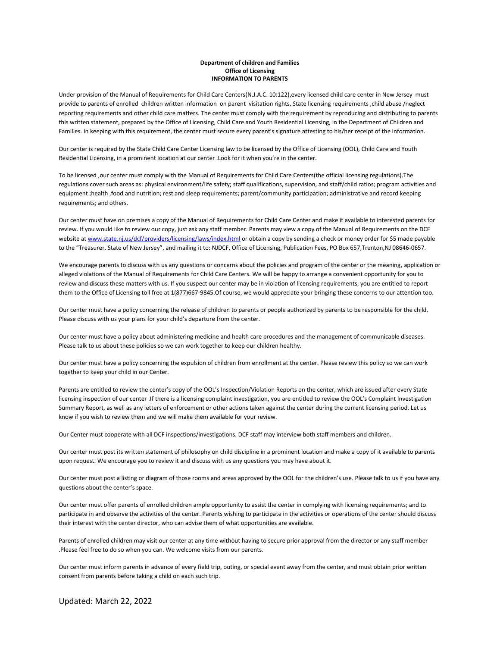#### **Department of children and Families Office of Licensing INFORMATION TO PARENTS**

Under provision of the Manual of Requirements for Child Care Centers(N.J.A.C. 10:122),every licensed child care center in New Jersey must provide to parents of enrolled children written information on parent visitation rights, State licensing requirements ,child abuse /neglect reporting requirements and other child care matters. The center must comply with the requirement by reproducing and distributing to parents this written statement, prepared by the Office of Licensing, Child Care and Youth Residential Licensing, in the Department of Children and Families. In keeping with this requirement, the center must secure every parent's signature attesting to his/her receipt of the information.

Our center is required by the State Child Care Center Licensing law to be licensed by the Office of Licensing (OOL), Child Care and Youth Residential Licensing, in a prominent location at our center .Look for it when you're in the center.

To be licensed ,our center must comply with the Manual of Requirements for Child Care Centers(the official licensing regulations).The regulations cover such areas as: physical environment/life safety; staff qualifications, supervision, and staff/child ratios; program activities and equipment ;health ,food and nutrition; rest and sleep requirements; parent/community participation; administrative and record keeping requirements; and others.

Our center must have on premises a copy of the Manual of Requirements for Child Care Center and make it available to interested parents for review. If you would like to review our copy, just ask any staff member. Parents may view a copy of the Manual of Requirements on the DCF website a[t www.state.nj.us/dcf/providers/licensing/laws/index.html](http://www.state.nj.us/dcf/providers/licensing/laws/index.html) or obtain a copy by sending a check or money order for \$5 made payable to the "Treasurer, State of New Jersey", and mailing it to: NJDCF, Office of Licensing, Publication Fees, PO Box 657,Trenton,NJ 08646-0657.

We encourage parents to discuss with us any questions or concerns about the policies and program of the center or the meaning, application or alleged violations of the Manual of Requirements for Child Care Centers. We will be happy to arrange a convenient opportunity for you to review and discuss these matters with us. If you suspect our center may be in violation of licensing requirements, you are entitled to report them to the Office of Licensing toll free at 1(877)667-9845.Of course, we would appreciate your bringing these concerns to our attention too.

Our center must have a policy concerning the release of children to parents or people authorized by parents to be responsible for the child. Please discuss with us your plans for your child's departure from the center.

Our center must have a policy about administering medicine and health care procedures and the management of communicable diseases. Please talk to us about these policies so we can work together to keep our children healthy.

Our center must have a policy concerning the expulsion of children from enrollment at the center. Please review this policy so we can work together to keep your child in our Center.

Parents are entitled to review the center's copy of the OOL's Inspection/Violation Reports on the center, which are issued after every State licensing inspection of our center .If there is a licensing complaint investigation, you are entitled to review the OOL's Complaint Investigation Summary Report, as well as any letters of enforcement or other actions taken against the center during the current licensing period. Let us know if you wish to review them and we will make them available for your review.

Our Center must cooperate with all DCF inspections/investigations. DCF staff may interview both staff members and children.

Our center must post its written statement of philosophy on child discipline in a prominent location and make a copy of it available to parents upon request. We encourage you to review it and discuss with us any questions you may have about it.

Our center must post a listing or diagram of those rooms and areas approved by the OOL for the children's use. Please talk to us if you have any questions about the center's space.

Our center must offer parents of enrolled children ample opportunity to assist the center in complying with licensing requirements; and to participate in and observe the activities of the center. Parents wishing to participate in the activities or operations of the center should discuss their interest with the center director, who can advise them of what opportunities are available.

Parents of enrolled children may visit our center at any time without having to secure prior approval from the director or any staff member .Please feel free to do so when you can. We welcome visits from our parents.

Our center must inform parents in advance of every field trip, outing, or special event away from the center, and must obtain prior written consent from parents before taking a child on each such trip.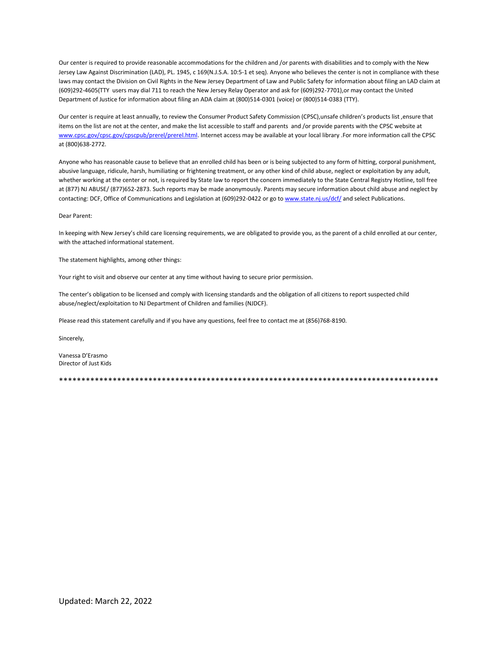Our center is required to provide reasonable accommodations for the children and /or parents with disabilities and to comply with the New Jersey Law Against Discrimination (LAD), PL. 1945, c 169(N.J.S.A. 10:5-1 et seq). Anyone who believes the center is not in compliance with these laws may contact the Division on Civil Rights in the New Jersey Department of Law and Public Safety for information about filing an LAD claim at (609)292-4605(TTY users may dial 711 to reach the New Jersey Relay Operator and ask for (609)292-7701),or may contact the United Department of Justice for information about filing an ADA claim at (800)514-0301 (voice) or (800)514-0383 (TTY).

Our center is require at least annually, to review the Consumer Product Safety Commission (CPSC),unsafe children's products list ,ensure that items on the list are not at the center, and make the list accessible to staff and parents and /or provide parents with the CPSC website at [www.cpsc.gov/cpsc.gov/cpscpub/prerel/prerel.html.](http://www.cpsc.gov/cpsc.gov/cpscpub/prerel/prerel.html) Internet access may be available at your local library .For more information call the CPSC at (800)638-2772.

Anyone who has reasonable cause to believe that an enrolled child has been or is being subjected to any form of hitting, corporal punishment, abusive language, ridicule, harsh, humiliating or frightening treatment, or any other kind of child abuse, neglect or exploitation by any adult, whether working at the center or not, is required by State law to report the concern immediately to the State Central Registry Hotline, toll free at (877) NJ ABUSE/ (877)652-2873. Such reports may be made anonymously. Parents may secure information about child abuse and neglect by contacting: DCF, Office of Communications and Legislation at (609)292-0422 or go t[o www.state.nj.us/dcf/](http://www.state.nj.us/dcf/) and select Publications.

#### Dear Parent:

In keeping with New Jersey's child care licensing requirements, we are obligated to provide you, as the parent of a child enrolled at our center, with the attached informational statement.

The statement highlights, among other things:

Your right to visit and observe our center at any time without having to secure prior permission.

The center's obligation to be licensed and comply with licensing standards and the obligation of all citizens to report suspected child abuse/neglect/exploitation to NJ Department of Children and families (NJDCF).

Please read this statement carefully and if you have any questions, feel free to contact me at (856)768-8190.

Sincerely,

Vanessa D'Erasmo Director of Just Kids

\*\*\*\*\*\*\*\*\*\*\*\*\*\*\*\*\*\*\*\*\*\*\*\*\*\*\*\*\*\*\*\*\*\*\*\*\*\*\*\*\*\*\*\*\*\*\*\*\*\*\*\*\*\*\*\*\*\*\*\*\*\*\*\*\*\*\*\*\*\*\*\*\*\*\*\*\*\*\*\*\*\*\*\*\*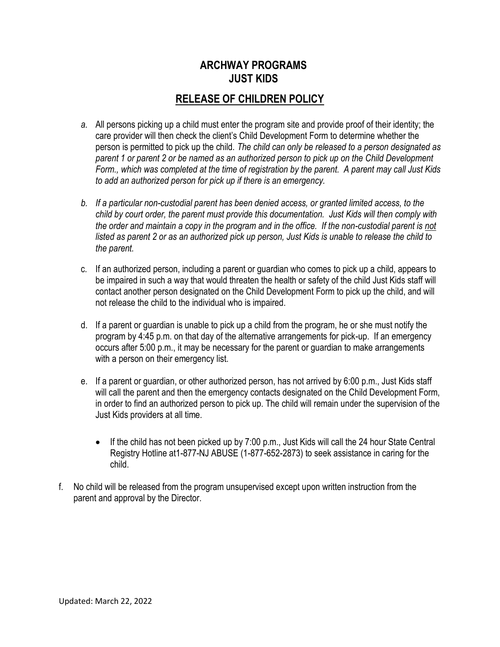# **ARCHWAY PROGRAMS JUST KIDS**

# **RELEASE OF CHILDREN POLICY**

- *a.* All persons picking up a child must enter the program site and provide proof of their identity; the care provider will then check the client's Child Development Form to determine whether the person is permitted to pick up the child. *The child can only be released to a person designated as parent 1 or parent 2 or be named as an authorized person to pick up on the Child Development Form., which was completed at the time of registration by the parent. A parent may call Just Kids to add an authorized person for pick up if there is an emergency.*
- *b. If a particular non-custodial parent has been denied access, or granted limited access, to the child by court order, the parent must provide this documentation. Just Kids will then comply with the order and maintain a copy in the program and in the office. If the non-custodial parent is not listed as parent 2 or as an authorized pick up person, Just Kids is unable to release the child to the parent.*
- c. If an authorized person, including a parent or guardian who comes to pick up a child, appears to be impaired in such a way that would threaten the health or safety of the child Just Kids staff will contact another person designated on the Child Development Form to pick up the child, and will not release the child to the individual who is impaired.
- d. If a parent or guardian is unable to pick up a child from the program, he or she must notify the program by 4:45 p.m. on that day of the alternative arrangements for pick-up. If an emergency occurs after 5:00 p.m., it may be necessary for the parent or guardian to make arrangements with a person on their emergency list.
- e. If a parent or guardian, or other authorized person, has not arrived by 6:00 p.m., Just Kids staff will call the parent and then the emergency contacts designated on the Child Development Form, in order to find an authorized person to pick up. The child will remain under the supervision of the Just Kids providers at all time.
	- $\bullet$  If the child has not been picked up by 7:00 p.m., Just Kids will call the 24 hour State Central Registry Hotline at1-877-NJ ABUSE (1-877-652-2873) to seek assistance in caring for the child.
- f. No child will be released from the program unsupervised except upon written instruction from the parent and approval by the Director.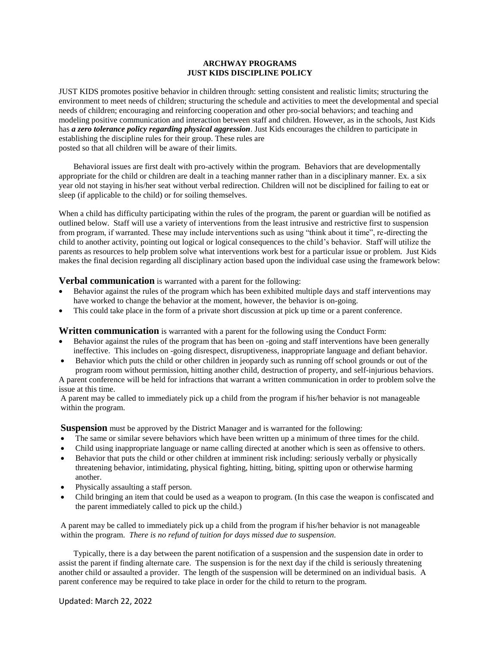#### **ARCHWAY PROGRAMS JUST KIDS DISCIPLINE POLICY**

JUST KIDS promotes positive behavior in children through: setting consistent and realistic limits; structuring the environment to meet needs of children; structuring the schedule and activities to meet the developmental and special needs of children; encouraging and reinforcing cooperation and other pro-social behaviors; and teaching and modeling positive communication and interaction between staff and children. However, as in the schools, Just Kids has *a zero tolerance policy regarding physical aggression*. Just Kids encourages the children to participate in establishing the discipline rules for their group. These rules are posted so that all children will be aware of their limits.

Behavioral issues are first dealt with pro-actively within the program. Behaviors that are developmentally appropriate for the child or children are dealt in a teaching manner rather than in a disciplinary manner. Ex. a six year old not staying in his/her seat without verbal redirection. Children will not be disciplined for failing to eat or sleep (if applicable to the child) or for soiling themselves.

When a child has difficulty participating within the rules of the program, the parent or guardian will be notified as outlined below. Staff will use a variety of interventions from the least intrusive and restrictive first to suspension from program, if warranted. These may include interventions such as using "think about it time", re-directing the child to another activity, pointing out logical or logical consequences to the child's behavior. Staff will utilize the parents as resources to help problem solve what interventions work best for a particular issue or problem. Just Kids makes the final decision regarding all disciplinary action based upon the individual case using the framework below:

**Verbal communication** is warranted with a parent for the following:

- Behavior against the rules of the program which has been exhibited multiple days and staff interventions may have worked to change the behavior at the moment, however, the behavior is on-going.
- This could take place in the form of a private short discussion at pick up time or a parent conference.

**Written communication** is warranted with a parent for the following using the Conduct Form:

- Behavior against the rules of the program that has been on -going and staff interventions have been generally ineffective. This includes on -going disrespect, disruptiveness, inappropriate language and defiant behavior.
- Behavior which puts the child or other children in jeopardy such as running off school grounds or out of the program room without permission, hitting another child, destruction of property, and self-injurious behaviors.

A parent conference will be held for infractions that warrant a written communication in order to problem solve the issue at this time.

A parent may be called to immediately pick up a child from the program if his/her behavior is not manageable within the program.

**Suspension** must be approved by the District Manager and is warranted for the following:

- The same or similar severe behaviors which have been written up a minimum of three times for the child.
- Child using inappropriate language or name calling directed at another which is seen as offensive to others.
- Behavior that puts the child or other children at imminent risk including: seriously verbally or physically threatening behavior, intimidating, physical fighting, hitting, biting, spitting upon or otherwise harming another.
- Physically assaulting a staff person.
- Child bringing an item that could be used as a weapon to program. (In this case the weapon is confiscated and the parent immediately called to pick up the child.)

A parent may be called to immediately pick up a child from the program if his/her behavior is not manageable within the program. *There is no refund of tuition for days missed due to suspension.*

Typically, there is a day between the parent notification of a suspension and the suspension date in order to assist the parent if finding alternate care. The suspension is for the next day if the child is seriously threatening another child or assaulted a provider. The length of the suspension will be determined on an individual basis. A parent conference may be required to take place in order for the child to return to the program.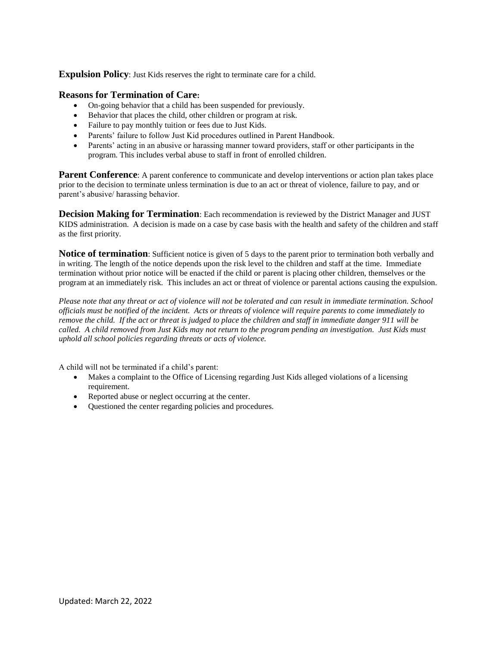**Expulsion Policy:** Just Kids reserves the right to terminate care for a child.

#### **Reasons for Termination of Care:**

- On-going behavior that a child has been suspended for previously.
- Behavior that places the child, other children or program at risk.
- Failure to pay monthly tuition or fees due to Just Kids.
- Parents' failure to follow Just Kid procedures outlined in Parent Handbook.
- Parents' acting in an abusive or harassing manner toward providers, staff or other participants in the program. This includes verbal abuse to staff in front of enrolled children.

**Parent Conference**: A parent conference to communicate and develop interventions or action plan takes place prior to the decision to terminate unless termination is due to an act or threat of violence, failure to pay, and or parent's abusive/ harassing behavior.

**Decision Making for Termination**: Each recommendation is reviewed by the District Manager and JUST KIDS administration. A decision is made on a case by case basis with the health and safety of the children and staff as the first priority.

**Notice of termination**: Sufficient notice is given of 5 days to the parent prior to termination both verbally and in writing. The length of the notice depends upon the risk level to the children and staff at the time. Immediate termination without prior notice will be enacted if the child or parent is placing other children, themselves or the program at an immediately risk. This includes an act or threat of violence or parental actions causing the expulsion.

*Please note that any threat or act of violence will not be tolerated and can result in immediate termination. School officials must be notified of the incident. Acts or threats of violence will require parents to come immediately to remove the child. If the act or threat is judged to place the children and staff in immediate danger 911 will be called. A child removed from Just Kids may not return to the program pending an investigation. Just Kids must uphold all school policies regarding threats or acts of violence.*

A child will not be terminated if a child's parent:

- Makes a complaint to the Office of Licensing regarding Just Kids alleged violations of a licensing requirement.
- Reported abuse or neglect occurring at the center.
- Questioned the center regarding policies and procedures.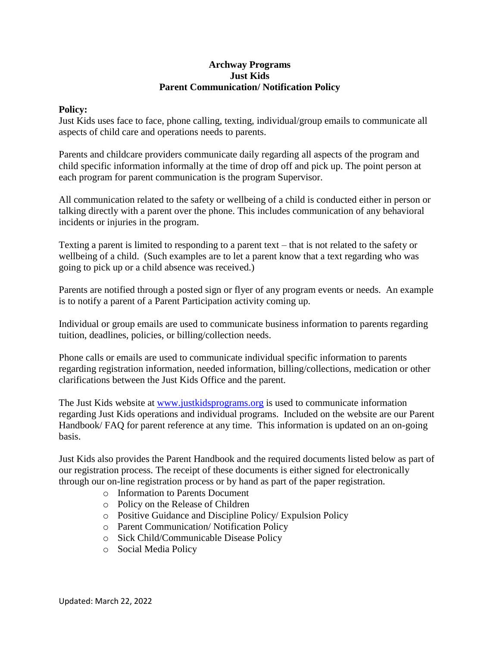#### **Archway Programs Just Kids Parent Communication/ Notification Policy**

#### **Policy:**

Just Kids uses face to face, phone calling, texting, individual/group emails to communicate all aspects of child care and operations needs to parents.

Parents and childcare providers communicate daily regarding all aspects of the program and child specific information informally at the time of drop off and pick up. The point person at each program for parent communication is the program Supervisor.

All communication related to the safety or wellbeing of a child is conducted either in person or talking directly with a parent over the phone. This includes communication of any behavioral incidents or injuries in the program.

Texting a parent is limited to responding to a parent text – that is not related to the safety or wellbeing of a child. (Such examples are to let a parent know that a text regarding who was going to pick up or a child absence was received.)

Parents are notified through a posted sign or flyer of any program events or needs. An example is to notify a parent of a Parent Participation activity coming up.

Individual or group emails are used to communicate business information to parents regarding tuition, deadlines, policies, or billing/collection needs.

Phone calls or emails are used to communicate individual specific information to parents regarding registration information, needed information, billing/collections, medication or other clarifications between the Just Kids Office and the parent.

The Just Kids website at [www.justkidsprograms.org](http://www.justkidsprograms.org/) is used to communicate information regarding Just Kids operations and individual programs. Included on the website are our Parent Handbook/ FAQ for parent reference at any time. This information is updated on an on-going basis.

Just Kids also provides the Parent Handbook and the required documents listed below as part of our registration process. The receipt of these documents is either signed for electronically through our on-line registration process or by hand as part of the paper registration.

- o Information to Parents Document
- o Policy on the Release of Children
- o Positive Guidance and Discipline Policy/ Expulsion Policy
- o Parent Communication/ Notification Policy
- o Sick Child/Communicable Disease Policy
- o Social Media Policy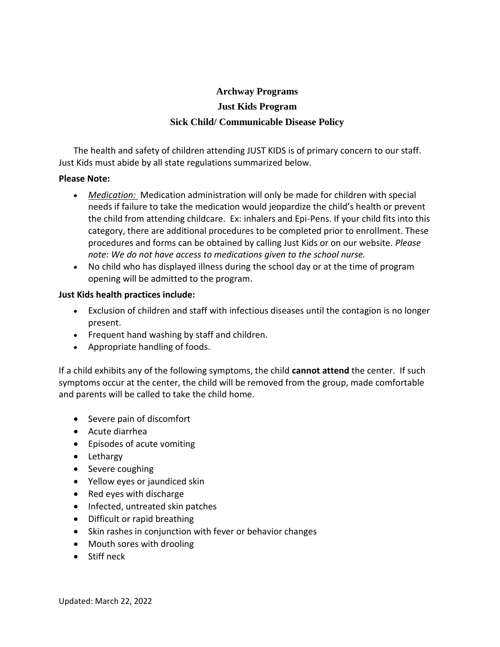# **Archway Programs Just Kids Program Sick Child/ Communicable Disease Policy**

The health and safety of children attending JUST KIDS is of primary concern to our staff. Just Kids must abide by all state regulations summarized below.

#### **Please Note:**

- *Medication:* Medication administration will only be made for children with special needs if failure to take the medication would jeopardize the child's health or prevent the child from attending childcare. Ex: inhalers and Epi-Pens. If your child fits into this category, there are additional procedures to be completed prior to enrollment. These procedures and forms can be obtained by calling Just Kids or on our website. *Please note: We do not have access to medications given to the school nurse.*
- No child who has displayed illness during the school day or at the time of program opening will be admitted to the program.

#### **Just Kids health practices include:**

- Exclusion of children and staff with infectious diseases until the contagion is no longer present.
- Frequent hand washing by staff and children.
- Appropriate handling of foods.

If a child exhibits any of the following symptoms, the child **cannot attend** the center. If such symptoms occur at the center, the child will be removed from the group, made comfortable and parents will be called to take the child home.

- Severe pain of discomfort
- Acute diarrhea
- Episodes of acute vomiting
- Lethargy
- Severe coughing
- Yellow eyes or jaundiced skin
- Red eyes with discharge
- Infected, untreated skin patches
- Difficult or rapid breathing
- Skin rashes in conjunction with fever or behavior changes
- Mouth sores with drooling
- **•** Stiff neck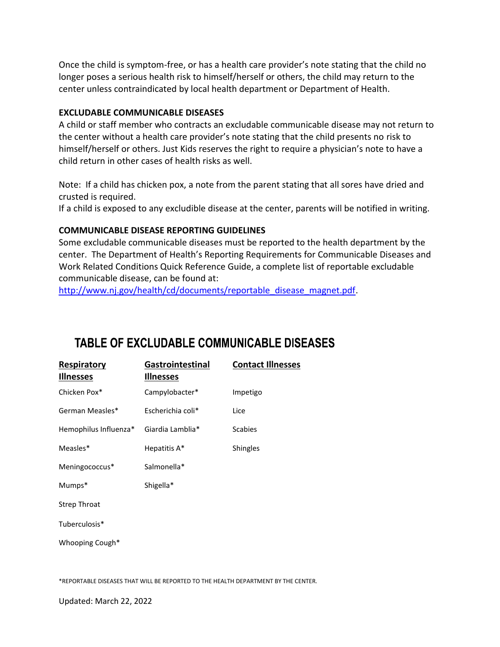Once the child is symptom-free, or has a health care provider's note stating that the child no longer poses a serious health risk to himself/herself or others, the child may return to the center unless contraindicated by local health department or Department of Health.

#### **EXCLUDABLE COMMUNICABLE DISEASES**

A child or staff member who contracts an excludable communicable disease may not return to the center without a health care provider's note stating that the child presents no risk to himself/herself or others. Just Kids reserves the right to require a physician's note to have a child return in other cases of health risks as well.

Note: If a child has chicken pox, a note from the parent stating that all sores have dried and crusted is required.

If a child is exposed to any excludible disease at the center, parents will be notified in writing.

### **COMMUNICABLE DISEASE REPORTING GUIDELINES**

Some excludable communicable diseases must be reported to the health department by the center. The Department of Health's Reporting Requirements for Communicable Diseases and Work Related Conditions Quick Reference Guide, a complete list of reportable excludable communicable disease, can be found at:

[http://www.nj.gov/health/cd/documents/reportable\\_disease\\_magnet.pdf.](http://www.nj.gov/health/cd/documents/reportable_disease_magnet.pdf)

# **TABLE OF EXCLUDABLE COMMUNICABLE DISEASES**

| <b>Respiratory</b><br><b>Illnesses</b> | <b>Gastrointestinal</b><br><b>Illnesses</b> | <b>Contact Illnesses</b> |
|----------------------------------------|---------------------------------------------|--------------------------|
| Chicken Pox*                           | Campylobacter*                              | Impetigo                 |
| German Measles*                        | Escherichia coli*                           | Lice                     |
| Hemophilus Influenza*                  | Giardia Lamblia*                            | <b>Scabies</b>           |
| Measles*                               | Hepatitis A*                                | Shingles                 |
| Meningococcus*                         | Salmonella*                                 |                          |
| Mumps*                                 | Shigella*                                   |                          |
| <b>Strep Throat</b>                    |                                             |                          |
| Tuberculosis*                          |                                             |                          |
| Whooping Cough*                        |                                             |                          |
|                                        |                                             |                          |

\*REPORTABLE DISEASES THAT WILL BE REPORTED TO THE HEALTH DEPARTMENT BY THE CENTER.